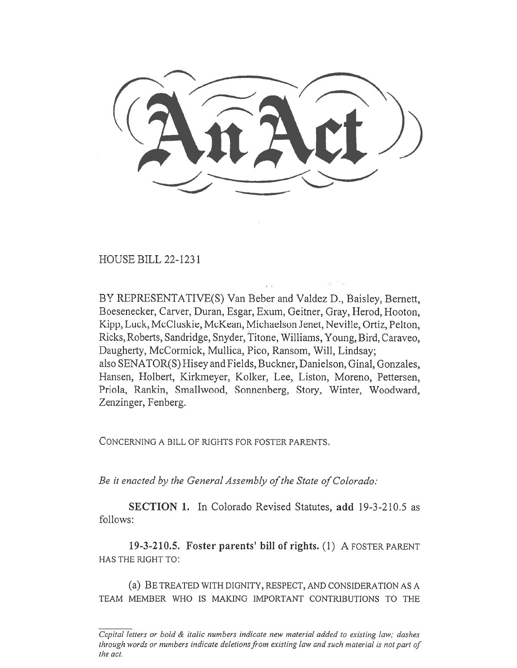HOUSE BILL 22-1231

BY REPRESENTATIVE(S) Van Beber and Valdez D., Baisley, Bernett, Boesenecker, Carver, Duran, Esgar, Exum, Geitner, Gray, Herod, Hooton, Kipp, Luck, McCluskie, McKean, Michaelson Jenet, Neville, Ortiz, Pelton, Ricks, Roberts, Sandridge, Snyder, Titone, Williams, Young, Bird, Caraveo, Daugherty, McCormick, Mullica, Pico, Ransom, Will, Lindsay; also SENATOR(S) Hisey and Fields, Buckner, Danielson, Ginal, Gonzales, Hansen, Holbert, Kirkmeyer, Kolker, Lee, Liston, Moreno, Pettersen, Priola, Rankin, Smallwood, Sonnenberg, Story, Winter, Woodward, Zenzinger, Fenberg.

CONCERNING A BILL OF RIGHTS FOR FOSTER PARENTS.

Be it enacted by the General Assembly of the State of Colorado:

SECTION 1. In Colorado Revised Statutes, add 19-3-210.5 as follows:

19-3-210.5. Foster parents' bill of rights. (1) A FOSTER PARENT HAS THE RIGHT TO:

(a) BE TREATED WITH DIGNITY, RESPECT, AND CONSIDERATION AS A TEAM MEMBER WHO IS MAKING IMPORTANT CONTRIBUTIONS TO THE

Capital letters or bold & italic numbers indicate new material added to existing law; dashes through words or numbers indicate deletions from existing law and such material is not part of the act.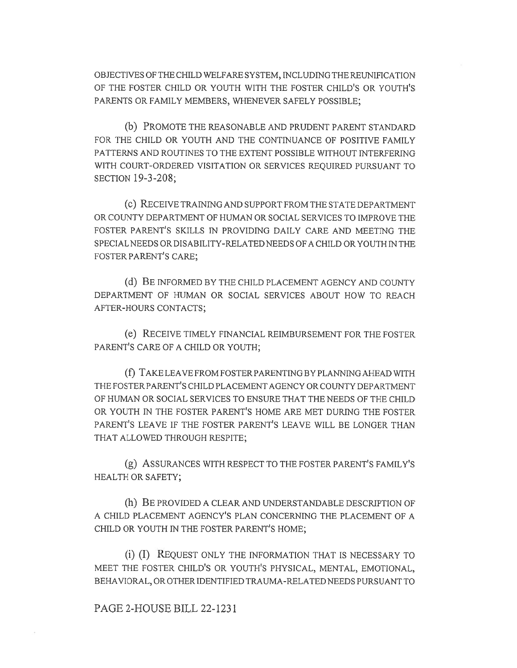OBJECTIVES OF THE CHILD WELFARE SYSTEM, INCLUDING THE REUNIFICATION OF THE FOSTER CHILD OR YOUTH WITH THE FOSTER CHILD'S OR YOUTH'S PARENTS OR FAMILY MEMBERS, WHENEVER SAFELY POSSIBLE;

(b) PROMOTE THE REASONABLE AND PRUDENT PARENT STANDARD FOR THE CHILD OR YOUTH AND THE CONTINUANCE OF POSITIVE FAMILY PATTERNS AND ROUTINES TO THE EXTENT POSSIBLE WITHOUT INTERFERING WITH COURT-ORDERED VISITATION OR SERVICES REQUIRED PURSUANT TO SECTION 19-3-208;

(c) RECEIVE TRAINING AND SUPPORT FROM THE STATE DEPARTMENT OR COUNTY DEPARTMENT OF HUMAN OR SOCIAL SERVICES TO IMPROVE THE FOSTER PARENT'S SKILLS IN PROVIDING DAILY CARE AND MEETING THE SPECIAL NEEDS OR DISABILITY-RELATED NEEDS OF A CHILD OR YOUTH IN THE FOSTER PARENT'S CARE;

(d) BE INFORMED BY THE CHILD PLACEMENT AGENCY AND COUNTY DEPARTMENT OF HUMAN OR SOCIAL SERVICES ABOUT HOW TO REACH AFTER-HOURS CONTACTS;

(e) RECEIVE TIMELY FINANCIAL REIMBURSEMENT FOR THE FOSTER PARENT'S CARE OF A CHILD OR YOUTH;

(f) TAKE LEAVE FROM FOSTER PARENTING BY PLANNING AHEAD WITH THE FOSTER PARENT'S CHILD PLACEMENT AGENCY OR COUNTY DEPARTMENT OF HUMAN OR SOCIAL SERVICES TO ENSURE THAT THE NEEDS OF THE CHILD OR YOUTH IN THE FOSTER PARENT'S HOME ARE MET DURING THE FOSTER PARENT'S LEAVE IF THE FOSTER PARENT'S LEAVE WILL BE LONGER THAN THAT ALLOWED THROUGH RESPITE;

(g) ASSURANCES WITH RESPECT TO THE FOSTER PARENT'S FAMILY'S HEALTH OR SAFETY;

(h) BE PROVIDED A CLEAR AND UNDERSTANDABLE DESCRIPTION OF A CHILD PLACEMENT AGENCY'S PLAN CONCERNING THE PLACEMENT OF A CHILD OR YOUTH IN THE FOSTER PARENT'S HOME;

(i) (I) REQUEST ONLY THE INFORMATION THAT IS NECESSARY TO MEET THE FOSTER CHILD'S OR YOUTH'S PHYSICAL, MENTAL, EMOTIONAL, BEHAVIORAL, OR OTHER IDENTIFIED TRAUMA-RELATED NEEDS PURSUANT TO

## PAGE 2-HOUSE BILL 22-1231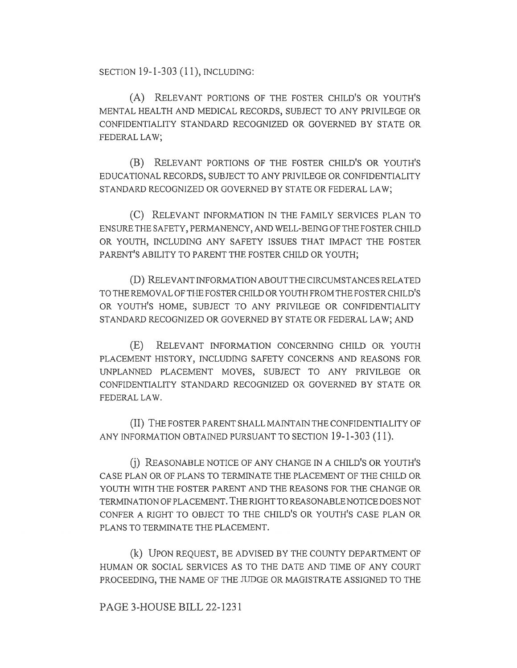SECTION 19-1-303 (11), INCLUDING:

(A) RELEVANT PORTIONS OF THE FOSTER CHILD'S OR YOUTH'S MENTAL HEALTH AND MEDICAL RECORDS, SUBJECT TO ANY PRIVILEGE OR CONFIDENTIALITY STANDARD RECOGNIZED OR GOVERNED BY STATE OR FEDERAL LAW;

(B) RELEVANT PORTIONS OF THE FOSTER CHILD'S OR YOUTH'S EDUCATIONAL RECORDS, SUBJECT TO ANY PRIVILEGE OR CONFIDENTIALITY STANDARD RECOGNIZED OR GOVERNED BY STATE OR FEDERAL LAW;

(C) RELEVANT INFORMATION IN THE FAMILY SERVICES PLAN TO ENSURE THE SAFETY, PERMANENCY, AND WELL-BEING OF THE FOSTER CHILD OR YOUTH, INCLUDING ANY SAFETY ISSUES THAT IMPACT THE FOSTER PARENT'S ABILITY TO PARENT THE FOSTER CHILD OR YOUTH;

(D) RELEVANT INFORMATION ABOUT THE CIRCUMSTANCES RELATED TO THE REMOVAL OF THE FOSTER CHILD OR YOUTH FROM THE FOSTER CHILD'S OR YOUTH'S HOME, SUBJECT TO ANY PRIVILEGE OR CONFIDENTIALITY STANDARD RECOGNIZED OR GOVERNED BY STATE OR FEDERAL LAW; AND

(E) RELEVANT INFORMATION CONCERNING CHILD OR YOUTH PLACEMENT HISTORY, INCLUDING SAFETY CONCERNS AND REASONS FOR UNPLANNED PLACEMENT MOVES, SUBJECT TO ANY PRIVILEGE OR CONFIDENTIALITY STANDARD RECOGNIZED OR GOVERNED BY STATE OR FEDERAL LAW.

(II) THE FOSTER PARENT SHALL MAINTAIN THE CONFIDENTIALITY OF ANY INFORMATION OBTAINED PURSUANT TO SECTION 19-1-303 (11).

(j) REASONABLE NOTICE OF ANY CHANGE IN A CHILD'S OR YOUTH'S CASE PLAN OR OF PLANS TO TERMINATE THE PLACEMENT OF THE CHILD OR YOUTH WITH THE FOSTER PARENT AND THE REASONS FOR THE CHANGE OR TERMINATION OF PLACEMENT. THE RIGHT TO REASONABLE NOTICE DOES NOT CONFER A RIGHT TO OBJECT TO THE CHILD'S OR YOUTH'S CASE PLAN OR PLANS TO TERMINATE THE PLACEMENT.

(k) UPON REQUEST, BE ADVISED BY THE COUNTY DEPARTMENT OF HUMAN OR SOCIAL SERVICES AS TO THE DATE AND TIME OF ANY COURT PROCEEDING, THE NAME OF THE JUDGE OR MAGISTRATE ASSIGNED TO THE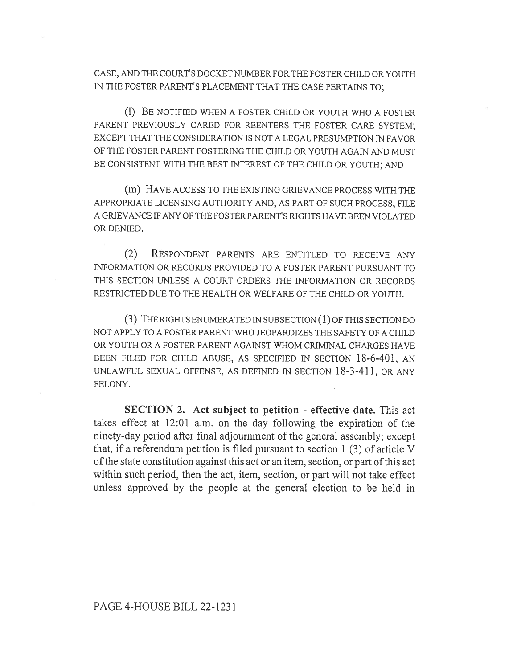CASE, AND THE COURT'S DOCKET NUMBER FOR THE FOSTER CHILD OR YOUTH IN THE FOSTER PARENT'S PLACEMENT THAT THE CASE PERTAINS TO;

(1) BE NOTIFIED WHEN A FOSTER CHILD OR YOUTH WHO A FOSTER PARENT PREVIOUSLY CARED FOR REENTERS THE FOSTER CARE SYSTEM; EXCEPT THAT THE CONSIDERATION IS NOT A LEGAL PRESUMPTION IN FAVOR OF THE FOSTER PARENT FOSTERING THE CHILD OR YOUTH AGAIN AND MUST BE CONSISTENT WITH THE BEST INTEREST OF THE CHILD OR YOUTH; AND

(m) HAVE ACCESS TO THE EXISTING GRIEVANCE PROCESS WITH THE APPROPRIATE LICENSING AUTHORITY AND, AS PART OF SUCH PROCESS, FILE A GRIEVANCE IF ANY OF THE FOSTER PARENT'S RIGHTS HAVE BEEN VIOLATED OR DENIED.

(2) RESPONDENT PARENTS ARE ENTITLED TO RECEIVE ANY INFORMATION OR RECORDS PROVIDED TO A FOSTER PARENT PURSUANT TO THIS SECTION UNLESS A COURT ORDERS THE INFORMATION OR RECORDS RESTRICTED DUE TO THE HEALTH OR WELFARE OF THE CHILD OR YOUTH.

(3) THE RIGHTS ENUMERATED IN SUBSECTION (1) OF THIS SECTION DO NOT APPLY TO A FOSTER PARENT WHO JEOPARDIZES THE SAFETY OF A CHILD OR YOUTH OR A FOSTER PARENT AGAINST WHOM CRIMINAL CHARGES HAVE BEEN FILED FOR CHILD ABUSE, AS SPECIFIED IN SECTION 18-6-401, AN UNLAWFUL SEXUAL OFFENSE, AS DEFINED IN SECTION 18-3-411, OR ANY FELONY.

SECTION 2. Act subject to petition - effective date. This act takes effect at 12:01 a.m. on the day following the expiration of the ninety-day period after final adjournment of the general assembly; except that, if a referendum petition is filed pursuant to section 1 (3) of article V of the state constitution against this act or an item, section, or part of this act within such period, then the act, item, section, or part will not take effect unless approved by the people at the general election to be held in